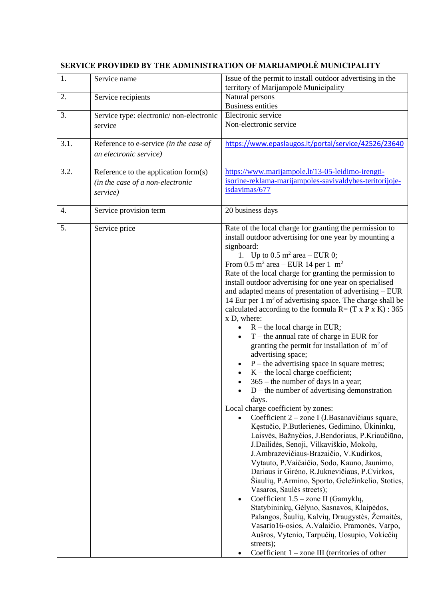| 1.   | Service name                                                                         | Issue of the permit to install outdoor advertising in the<br>territory of Marijampolė Municipality                                                                                                                                                                                                                                                                                                                                                                                                                                                                                                                                                                                                                                                                                                                                                                                                                                                                                                                                                                                                                                                                                                                                                                                                                                                                                                                                                                                                                                                                                                                                                                                                                                            |
|------|--------------------------------------------------------------------------------------|-----------------------------------------------------------------------------------------------------------------------------------------------------------------------------------------------------------------------------------------------------------------------------------------------------------------------------------------------------------------------------------------------------------------------------------------------------------------------------------------------------------------------------------------------------------------------------------------------------------------------------------------------------------------------------------------------------------------------------------------------------------------------------------------------------------------------------------------------------------------------------------------------------------------------------------------------------------------------------------------------------------------------------------------------------------------------------------------------------------------------------------------------------------------------------------------------------------------------------------------------------------------------------------------------------------------------------------------------------------------------------------------------------------------------------------------------------------------------------------------------------------------------------------------------------------------------------------------------------------------------------------------------------------------------------------------------------------------------------------------------|
| 2.   | Service recipients                                                                   | Natural persons<br><b>Business entities</b>                                                                                                                                                                                                                                                                                                                                                                                                                                                                                                                                                                                                                                                                                                                                                                                                                                                                                                                                                                                                                                                                                                                                                                                                                                                                                                                                                                                                                                                                                                                                                                                                                                                                                                   |
| 3.   | Service type: electronic/non-electronic<br>service                                   | Electronic service<br>Non-electronic service                                                                                                                                                                                                                                                                                                                                                                                                                                                                                                                                                                                                                                                                                                                                                                                                                                                                                                                                                                                                                                                                                                                                                                                                                                                                                                                                                                                                                                                                                                                                                                                                                                                                                                  |
| 3.1. | Reference to e-service (in the case of<br>an electronic service)                     | https://www.epaslaugos.lt/portal/service/42526/23640                                                                                                                                                                                                                                                                                                                                                                                                                                                                                                                                                                                                                                                                                                                                                                                                                                                                                                                                                                                                                                                                                                                                                                                                                                                                                                                                                                                                                                                                                                                                                                                                                                                                                          |
| 3.2. | Reference to the application form(s)<br>(in the case of a non-electronic<br>service) | https://www.marijampole.lt/13-05-leidimo-irengti-<br>isorine-reklama-marijampoles-savivaldybes-teritorijoje-<br>isdavimas/677                                                                                                                                                                                                                                                                                                                                                                                                                                                                                                                                                                                                                                                                                                                                                                                                                                                                                                                                                                                                                                                                                                                                                                                                                                                                                                                                                                                                                                                                                                                                                                                                                 |
| 4.   | Service provision term                                                               | 20 business days                                                                                                                                                                                                                                                                                                                                                                                                                                                                                                                                                                                                                                                                                                                                                                                                                                                                                                                                                                                                                                                                                                                                                                                                                                                                                                                                                                                                                                                                                                                                                                                                                                                                                                                              |
| 5.   | Service price                                                                        | Rate of the local charge for granting the permission to<br>install outdoor advertising for one year by mounting a<br>signboard:<br>1. Up to $0.5 \text{ m}^2$ area - EUR 0;<br>From 0.5 m <sup>2</sup> area – EUR 14 per 1 m <sup>2</sup><br>Rate of the local charge for granting the permission to<br>install outdoor advertising for one year on specialised<br>and adapted means of presentation of advertising - EUR<br>14 Eur per $1 \text{ m}^2$ of advertising space. The charge shall be<br>calculated according to the formula $R = (T \times P \times K) : 365$<br>x D, where:<br>$R$ – the local charge in EUR;<br>$T$ – the annual rate of charge in EUR for<br>granting the permit for installation of $m2$ of<br>advertising space;<br>$P$ – the advertising space in square metres;<br>$K$ – the local charge coefficient;<br>$365$ – the number of days in a year;<br>$D$ – the number of advertising demonstration<br>days.<br>Local charge coefficient by zones:<br>Coefficient 2 – zone I (J.Basanavičiaus square,<br>Kęstučio, P.Butlerienės, Gedimino, Ūkininkų,<br>Laisvės, Bažnyčios, J.Bendoriaus, P.Kriaučiūno,<br>J.Dailidės, Senoji, Vilkaviškio, Mokolų,<br>J.Ambrazevičiaus-Brazaičio, V.Kudirkos,<br>Vytauto, P.Vaičaičio, Sodo, Kauno, Jaunimo,<br>Dariaus ir Girėno, R.Juknevičiaus, P.Cvirkos,<br>Šiaulių, P.Armino, Sporto, Geležinkelio, Stoties,<br>Vasaros, Saulės streets);<br>Coefficient $1.5$ – zone II (Gamyklų,<br>$\bullet$<br>Statybininkų, Gėlyno, Sasnavos, Klaipėdos,<br>Palangos, Šaulių, Kalvių, Draugystės, Žemaitės,<br>Vasario16-osios, A. Valaičio, Pramonės, Varpo,<br>Aušros, Vytenio, Tarpučių, Uosupio, Vokiečių<br>streets);<br>Coefficient $1 - z$ and III (territories of other |

## **SERVICE PROVIDED BY THE ADMINISTRATION OF MARIJAMPOLĖ MUNICIPALITY**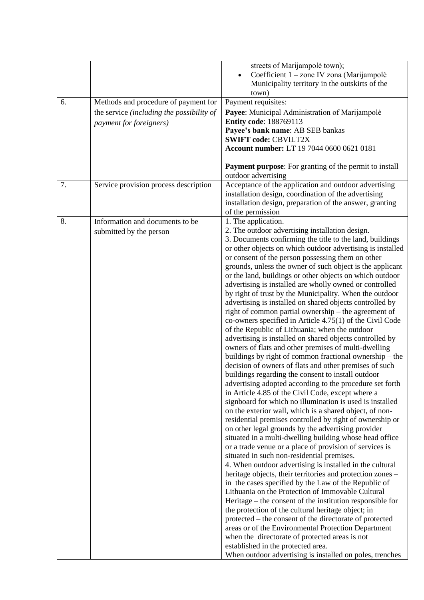|    |                                                                                                              | streets of Marijampolė town);<br>Coefficient 1 - zone IV zona (Marijampolė<br>Municipality territory in the outskirts of the<br>town)                                                                                                                                                                                                                                                                                                                                                                                                                                                                                                                                                                                                                                                                                                                                                                                                                                                                                                                                                                                                                                                                                                                                                                                                                                                                                                                                                                                                                                                                                                                                                                                                                                                                                                                                                                                                                                                                                                                                                                                                                                                                 |
|----|--------------------------------------------------------------------------------------------------------------|-------------------------------------------------------------------------------------------------------------------------------------------------------------------------------------------------------------------------------------------------------------------------------------------------------------------------------------------------------------------------------------------------------------------------------------------------------------------------------------------------------------------------------------------------------------------------------------------------------------------------------------------------------------------------------------------------------------------------------------------------------------------------------------------------------------------------------------------------------------------------------------------------------------------------------------------------------------------------------------------------------------------------------------------------------------------------------------------------------------------------------------------------------------------------------------------------------------------------------------------------------------------------------------------------------------------------------------------------------------------------------------------------------------------------------------------------------------------------------------------------------------------------------------------------------------------------------------------------------------------------------------------------------------------------------------------------------------------------------------------------------------------------------------------------------------------------------------------------------------------------------------------------------------------------------------------------------------------------------------------------------------------------------------------------------------------------------------------------------------------------------------------------------------------------------------------------------|
| 6. | Methods and procedure of payment for<br>the service (including the possibility of<br>payment for foreigners) | Payment requisites:<br>Payee: Municipal Administration of Marijampolė<br><b>Entity code: 188769113</b><br>Payee's bank name: AB SEB bankas<br><b>SWIFT code: CBVILT2X</b><br>Account number: LT 19 7044 0600 0621 0181                                                                                                                                                                                                                                                                                                                                                                                                                                                                                                                                                                                                                                                                                                                                                                                                                                                                                                                                                                                                                                                                                                                                                                                                                                                                                                                                                                                                                                                                                                                                                                                                                                                                                                                                                                                                                                                                                                                                                                                |
|    |                                                                                                              | <b>Payment purpose:</b> For granting of the permit to install<br>outdoor advertising                                                                                                                                                                                                                                                                                                                                                                                                                                                                                                                                                                                                                                                                                                                                                                                                                                                                                                                                                                                                                                                                                                                                                                                                                                                                                                                                                                                                                                                                                                                                                                                                                                                                                                                                                                                                                                                                                                                                                                                                                                                                                                                  |
| 7. | Service provision process description                                                                        | Acceptance of the application and outdoor advertising<br>installation design, coordination of the advertising<br>installation design, preparation of the answer, granting<br>of the permission                                                                                                                                                                                                                                                                                                                                                                                                                                                                                                                                                                                                                                                                                                                                                                                                                                                                                                                                                                                                                                                                                                                                                                                                                                                                                                                                                                                                                                                                                                                                                                                                                                                                                                                                                                                                                                                                                                                                                                                                        |
| 8. | Information and documents to be<br>submitted by the person                                                   | 1. The application.<br>2. The outdoor advertising installation design.<br>3. Documents confirming the title to the land, buildings<br>or other objects on which outdoor advertising is installed<br>or consent of the person possessing them on other<br>grounds, unless the owner of such object is the applicant<br>or the land, buildings or other objects on which outdoor<br>advertising is installed are wholly owned or controlled<br>by right of trust by the Municipality. When the outdoor<br>advertising is installed on shared objects controlled by<br>right of common partial ownership - the agreement of<br>co-owners specified in Article $4.75(1)$ of the Civil Code<br>of the Republic of Lithuania; when the outdoor<br>advertising is installed on shared objects controlled by<br>owners of flats and other premises of multi-dwelling<br>buildings by right of common fractional ownership – the<br>decision of owners of flats and other premises of such<br>buildings regarding the consent to install outdoor<br>advertising adopted according to the procedure set forth<br>in Article 4.85 of the Civil Code, except where a<br>signboard for which no illumination is used is installed<br>on the exterior wall, which is a shared object, of non-<br>residential premises controlled by right of ownership or<br>on other legal grounds by the advertising provider<br>situated in a multi-dwelling building whose head office<br>or a trade venue or a place of provision of services is<br>situated in such non-residential premises.<br>4. When outdoor advertising is installed in the cultural<br>heritage objects, their territories and protection zones -<br>in the cases specified by the Law of the Republic of<br>Lithuania on the Protection of Immovable Cultural<br>Heritage – the consent of the institution responsible for<br>the protection of the cultural heritage object; in<br>protected – the consent of the directorate of protected<br>areas or of the Environmental Protection Department<br>when the directorate of protected areas is not<br>established in the protected area.<br>When outdoor advertising is installed on poles, trenches |